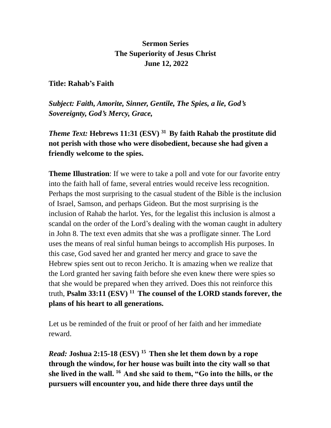## **Sermon Series The Superiority of Jesus Christ June 12, 2022**

## **Title: Rahab's Faith**

*Subject: Faith, Amorite, Sinner, Gentile, The Spies, a lie, God's Sovereignty, God's Mercy, Grace,* 

*Theme Text:* **Hebrews 11:31 (ESV) <sup>31</sup>By faith Rahab the prostitute did not perish with those who were disobedient, because she had given a friendly welcome to the spies.** 

**Theme Illustration**: If we were to take a poll and vote for our favorite entry into the faith hall of fame, several entries would receive less recognition. Perhaps the most surprising to the casual student of the Bible is the inclusion of Israel, Samson, and perhaps Gideon. But the most surprising is the inclusion of Rahab the harlot. Yes, for the legalist this inclusion is almost a scandal on the order of the Lord's dealing with the woman caught in adultery in John 8. The text even admits that she was a profligate sinner. The Lord uses the means of real sinful human beings to accomplish His purposes. In this case, God saved her and granted her mercy and grace to save the Hebrew spies sent out to recon Jericho. It is amazing when we realize that the Lord granted her saving faith before she even knew there were spies so that she would be prepared when they arrived. Does this not reinforce this truth, **Psalm 33:11 (ESV) <sup>11</sup>The counsel of the LORD stands forever, the plans of his heart to all generations.**

Let us be reminded of the fruit or proof of her faith and her immediate reward.

*Read:* **Joshua 2:15-18 (ESV) <sup>15</sup>Then she let them down by a rope through the window, for her house was built into the city wall so that she lived in the wall. <sup>16</sup>And she said to them, "Go into the hills, or the pursuers will encounter you, and hide there three days until the**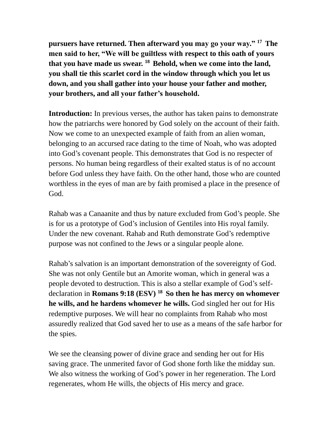**pursuers have returned. Then afterward you may go your way." <sup>17</sup>The men said to her, "We will be guiltless with respect to this oath of yours that you have made us swear. <sup>18</sup>Behold, when we come into the land, you shall tie this scarlet cord in the window through which you let us down, and you shall gather into your house your father and mother, your brothers, and all your father's household.**

**Introduction:** In previous verses, the author has taken pains to demonstrate how the patriarchs were honored by God solely on the account of their faith. Now we come to an unexpected example of faith from an alien woman, belonging to an accursed race dating to the time of Noah, who was adopted into God's covenant people. This demonstrates that God is no respecter of persons. No human being regardless of their exalted status is of no account before God unless they have faith. On the other hand, those who are counted worthless in the eyes of man are by faith promised a place in the presence of God.

Rahab was a Canaanite and thus by nature excluded from God's people. She is for us a prototype of God's inclusion of Gentiles into His royal family. Under the new covenant. Rahab and Ruth demonstrate God's redemptive purpose was not confined to the Jews or a singular people alone.

Rahab's salvation is an important demonstration of the sovereignty of God. She was not only Gentile but an Amorite woman, which in general was a people devoted to destruction. This is also a stellar example of God's selfdeclaration in **Romans 9:18 (ESV) <sup>18</sup>So then he has mercy on whomever he wills, and he hardens whomever he wills.** God singled her out for His redemptive purposes. We will hear no complaints from Rahab who most assuredly realized that God saved her to use as a means of the safe harbor for the spies.

We see the cleansing power of divine grace and sending her out for His saving grace. The unmerited favor of God shone forth like the midday sun. We also witness the working of God's power in her regeneration. The Lord regenerates, whom He wills, the objects of His mercy and grace.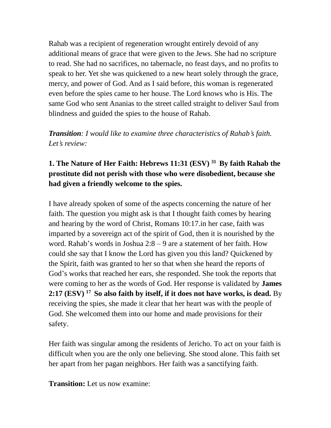Rahab was a recipient of regeneration wrought entirely devoid of any additional means of grace that were given to the Jews. She had no scripture to read. She had no sacrifices, no tabernacle, no feast days, and no profits to speak to her. Yet she was quickened to a new heart solely through the grace, mercy, and power of God. And as I said before, this woman is regenerated even before the spies came to her house. The Lord knows who is His. The same God who sent Ananias to the street called straight to deliver Saul from blindness and guided the spies to the house of Rahab.

*Transition: I would like to examine three characteristics of Rahab's faith. Let's review:*

## **1. The Nature of Her Faith: Hebrews 11:31 (ESV) <sup>31</sup>By faith Rahab the prostitute did not perish with those who were disobedient, because she had given a friendly welcome to the spies.**

I have already spoken of some of the aspects concerning the nature of her faith. The question you might ask is that I thought faith comes by hearing and hearing by the word of Christ, Romans 10:17.in her case, faith was imparted by a sovereign act of the spirit of God, then it is nourished by the word. Rahab's words in Joshua 2:8 – 9 are a statement of her faith. How could she say that I know the Lord has given you this land? Quickened by the Spirit, faith was granted to her so that when she heard the reports of God's works that reached her ears, she responded. She took the reports that were coming to her as the words of God. Her response is validated by **James 2:17 (ESV) <sup>17</sup>So also faith by itself, if it does not have works, is dead.** By receiving the spies, she made it clear that her heart was with the people of God. She welcomed them into our home and made provisions for their safety.

Her faith was singular among the residents of Jericho. To act on your faith is difficult when you are the only one believing. She stood alone. This faith set her apart from her pagan neighbors. Her faith was a sanctifying faith.

**Transition:** Let us now examine: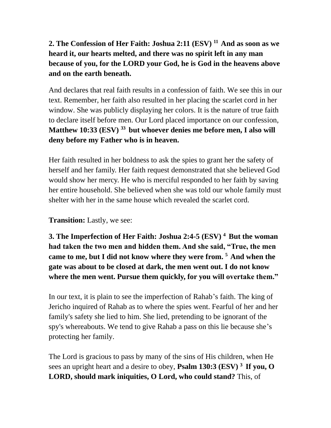## **2. The Confession of Her Faith: Joshua 2:11 (ESV) <sup>11</sup>And as soon as we heard it, our hearts melted, and there was no spirit left in any man because of you, for the LORD your God, he is God in the heavens above and on the earth beneath.**

And declares that real faith results in a confession of faith. We see this in our text. Remember, her faith also resulted in her placing the scarlet cord in her window. She was publicly displaying her colors. It is the nature of true faith to declare itself before men. Our Lord placed importance on our confession, **Matthew 10:33 (ESV) <sup>33</sup>but whoever denies me before men, I also will deny before my Father who is in heaven.**

Her faith resulted in her boldness to ask the spies to grant her the safety of herself and her family. Her faith request demonstrated that she believed God would show her mercy. He who is merciful responded to her faith by saving her entire household. She believed when she was told our whole family must shelter with her in the same house which revealed the scarlet cord.

**Transition:** Lastly, we see:

**3. The Imperfection of Her Faith: Joshua 2:4-5 (ESV) <sup>4</sup>But the woman had taken the two men and hidden them. And she said, "True, the men came to me, but I did not know where they were from. <sup>5</sup>And when the gate was about to be closed at dark, the men went out. I do not know where the men went. Pursue them quickly, for you will overtake them."**

In our text, it is plain to see the imperfection of Rahab's faith. The king of Jericho inquired of Rahab as to where the spies went. Fearful of her and her family's safety she lied to him. She lied, pretending to be ignorant of the spy's whereabouts. We tend to give Rahab a pass on this lie because she's protecting her family.

The Lord is gracious to pass by many of the sins of His children, when He sees an upright heart and a desire to obey, **Psalm 130:3 (ESV) <sup>3</sup>If you, O LORD, should mark iniquities, O Lord, who could stand?** This, of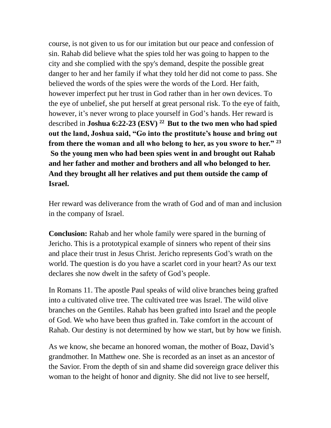course, is not given to us for our imitation but our peace and confession of sin. Rahab did believe what the spies told her was going to happen to the city and she complied with the spy's demand, despite the possible great danger to her and her family if what they told her did not come to pass. She believed the words of the spies were the words of the Lord. Her faith, however imperfect put her trust in God rather than in her own devices. To the eye of unbelief, she put herself at great personal risk. To the eye of faith, however, it's never wrong to place yourself in God's hands. Her reward is described in **Joshua 6:22-23 (ESV) <sup>22</sup>But to the two men who had spied out the land, Joshua said, "Go into the prostitute's house and bring out from there the woman and all who belong to her, as you swore to her." <sup>23</sup> So the young men who had been spies went in and brought out Rahab and her father and mother and brothers and all who belonged to her. And they brought all her relatives and put them outside the camp of Israel.**

Her reward was deliverance from the wrath of God and of man and inclusion in the company of Israel.

**Conclusion:** Rahab and her whole family were spared in the burning of Jericho. This is a prototypical example of sinners who repent of their sins and place their trust in Jesus Christ. Jericho represents God's wrath on the world. The question is do you have a scarlet cord in your heart? As our text declares she now dwelt in the safety of God's people.

In Romans 11. The apostle Paul speaks of wild olive branches being grafted into a cultivated olive tree. The cultivated tree was Israel. The wild olive branches on the Gentiles. Rahab has been grafted into Israel and the people of God. We who have been thus grafted in. Take comfort in the account of Rahab. Our destiny is not determined by how we start, but by how we finish.

As we know, she became an honored woman, the mother of Boaz, David's grandmother. In Matthew one. She is recorded as an inset as an ancestor of the Savior. From the depth of sin and shame did sovereign grace deliver this woman to the height of honor and dignity. She did not live to see herself,